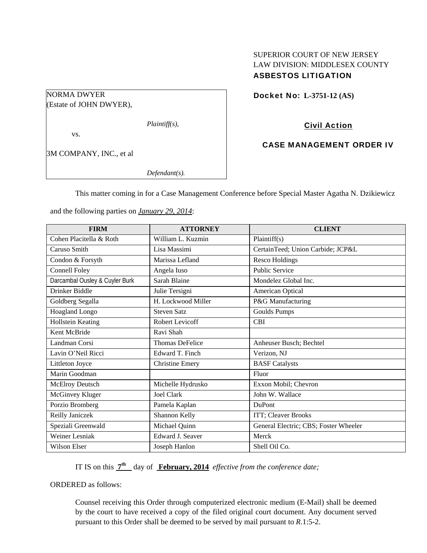# SUPERIOR COURT OF NEW JERSEY LAW DIVISION: MIDDLESEX COUNTY ASBESTOS LITIGATION

Docket No: **L-3751-12 (AS)** 

(Estate of JOHN DWYER),

*Plaintiff(s),* 

vs.

NORMA DWYER

3M COMPANY, INC., et al

*Defendant(s).* 

Civil Action

CASE MANAGEMENT ORDER IV

This matter coming in for a Case Management Conference before Special Master Agatha N. Dzikiewicz

and the following parties on *January 29, 2014*:

| <b>FIRM</b>                    | <b>ATTORNEY</b>        | <b>CLIENT</b>                         |
|--------------------------------|------------------------|---------------------------------------|
| Cohen Placitella & Roth        | William L. Kuzmin      | Plaintiff(s)                          |
| Caruso Smith                   | Lisa Massimi           | CertainTeed; Union Carbide; JCP&L     |
| Condon & Forsyth               | Marissa Lefland        | Resco Holdings                        |
| Connell Foley                  | Angela Iuso            | <b>Public Service</b>                 |
| Darcambal Ousley & Cuyler Burk | Sarah Blaine           | Mondelez Global Inc.                  |
| Drinker Biddle                 | Julie Tersigni         | American Optical                      |
| Goldberg Segalla               | H. Lockwood Miller     | P&G Manufacturing                     |
| Hoagland Longo                 | <b>Steven Satz</b>     | <b>Goulds Pumps</b>                   |
| Hollstein Keating              | Robert Levicoff        | <b>CBI</b>                            |
| Kent McBride                   | Ravi Shah              |                                       |
| Landman Corsi                  | <b>Thomas DeFelice</b> | Anheuser Busch; Bechtel               |
| Lavin O'Neil Ricci             | Edward T. Finch        | Verizon, NJ                           |
| Littleton Joyce                | <b>Christine Emery</b> | <b>BASF</b> Catalysts                 |
| Marin Goodman                  |                        | Fluor                                 |
| McElroy Deutsch                | Michelle Hydrusko      | Exxon Mobil; Chevron                  |
| McGinvey Kluger                | <b>Joel Clark</b>      | John W. Wallace                       |
| Porzio Bromberg                | Pamela Kaplan          | <b>DuPont</b>                         |
| Reilly Janiczek                | Shannon Kelly          | ITT; Cleaver Brooks                   |
| Speziali Greenwald             | Michael Quinn          | General Electric; CBS; Foster Wheeler |
| Weiner Lesniak                 | Edward J. Seaver       | Merck                                 |
| Wilson Elser                   | Joseph Hanlon          | Shell Oil Co.                         |

IT IS on this **7th** day of **February, 2014** *effective from the conference date;*

ORDERED as follows:

Counsel receiving this Order through computerized electronic medium (E-Mail) shall be deemed by the court to have received a copy of the filed original court document. Any document served pursuant to this Order shall be deemed to be served by mail pursuant to *R*.1:5-2.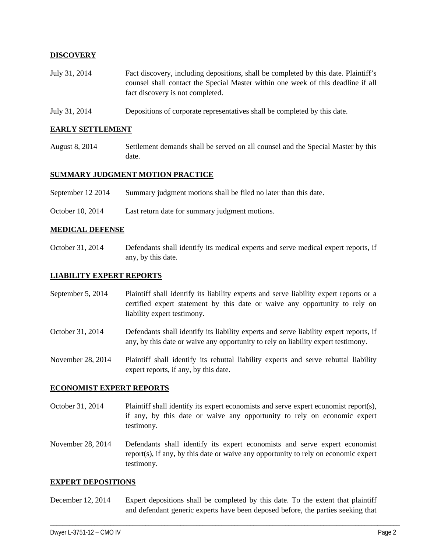## **DISCOVERY**

- July 31, 2014 Fact discovery, including depositions, shall be completed by this date. Plaintiff's counsel shall contact the Special Master within one week of this deadline if all fact discovery is not completed.
- July 31, 2014 Depositions of corporate representatives shall be completed by this date.

### **EARLY SETTLEMENT**

August 8, 2014 Settlement demands shall be served on all counsel and the Special Master by this date.

### **SUMMARY JUDGMENT MOTION PRACTICE**

- September 12 2014 Summary judgment motions shall be filed no later than this date.
- October 10, 2014 Last return date for summary judgment motions.

#### **MEDICAL DEFENSE**

October 31, 2014 Defendants shall identify its medical experts and serve medical expert reports, if any, by this date.

### **LIABILITY EXPERT REPORTS**

- September 5, 2014 Plaintiff shall identify its liability experts and serve liability expert reports or a certified expert statement by this date or waive any opportunity to rely on liability expert testimony.
- October 31, 2014 Defendants shall identify its liability experts and serve liability expert reports, if any, by this date or waive any opportunity to rely on liability expert testimony.
- November 28, 2014 Plaintiff shall identify its rebuttal liability experts and serve rebuttal liability expert reports, if any, by this date.

### **ECONOMIST EXPERT REPORTS**

October 31, 2014 Plaintiff shall identify its expert economists and serve expert economist report(s), if any, by this date or waive any opportunity to rely on economic expert testimony.

November 28, 2014 Defendants shall identify its expert economists and serve expert economist report(s), if any, by this date or waive any opportunity to rely on economic expert testimony.

#### **EXPERT DEPOSITIONS**

December 12, 2014 Expert depositions shall be completed by this date. To the extent that plaintiff and defendant generic experts have been deposed before, the parties seeking that

\_\_\_\_\_\_\_\_\_\_\_\_\_\_\_\_\_\_\_\_\_\_\_\_\_\_\_\_\_\_\_\_\_\_\_\_\_\_\_\_\_\_\_\_\_\_\_\_\_\_\_\_\_\_\_\_\_\_\_\_\_\_\_\_\_\_\_\_\_\_\_\_\_\_\_\_\_\_\_\_\_\_\_\_\_\_\_\_\_\_\_\_\_\_\_\_\_\_\_\_\_\_\_\_\_\_\_\_\_\_